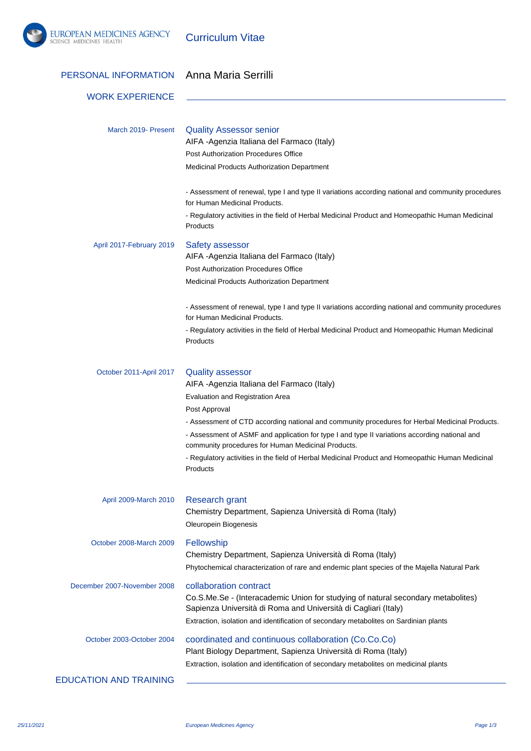

Curriculum Vitae

| PERSONAL INFORMATION          | Anna Maria Serrilli                                                                                                                                                                                                                                                                                                                                                                                                                                                                                  |
|-------------------------------|------------------------------------------------------------------------------------------------------------------------------------------------------------------------------------------------------------------------------------------------------------------------------------------------------------------------------------------------------------------------------------------------------------------------------------------------------------------------------------------------------|
| <b>WORK EXPERIENCE</b>        |                                                                                                                                                                                                                                                                                                                                                                                                                                                                                                      |
| March 2019- Present           | <b>Quality Assessor senior</b><br>AIFA -Agenzia Italiana del Farmaco (Italy)<br>Post Authorization Procedures Office<br>Medicinal Products Authorization Department                                                                                                                                                                                                                                                                                                                                  |
|                               | - Assessment of renewal, type I and type II variations according national and community procedures<br>for Human Medicinal Products.<br>- Regulatory activities in the field of Herbal Medicinal Product and Homeopathic Human Medicinal<br>Products                                                                                                                                                                                                                                                  |
| April 2017-February 2019      | Safety assessor<br>AIFA -Agenzia Italiana del Farmaco (Italy)<br>Post Authorization Procedures Office<br>Medicinal Products Authorization Department                                                                                                                                                                                                                                                                                                                                                 |
|                               | - Assessment of renewal, type I and type II variations according national and community procedures<br>for Human Medicinal Products.<br>- Regulatory activities in the field of Herbal Medicinal Product and Homeopathic Human Medicinal<br>Products                                                                                                                                                                                                                                                  |
| October 2011-April 2017       | <b>Quality assessor</b><br>AIFA - Agenzia Italiana del Farmaco (Italy)<br>Evaluation and Registration Area<br>Post Approval<br>- Assessment of CTD according national and community procedures for Herbal Medicinal Products.<br>- Assessment of ASMF and application for type I and type II variations according national and<br>community procedures for Human Medicinal Products.<br>- Regulatory activities in the field of Herbal Medicinal Product and Homeopathic Human Medicinal<br>Products |
| April 2009-March 2010         | <b>Research grant</b><br>Chemistry Department, Sapienza Università di Roma (Italy)<br>Oleuropein Biogenesis                                                                                                                                                                                                                                                                                                                                                                                          |
| October 2008-March 2009       | Fellowship<br>Chemistry Department, Sapienza Università di Roma (Italy)<br>Phytochemical characterization of rare and endemic plant species of the Majella Natural Park                                                                                                                                                                                                                                                                                                                              |
| December 2007-November 2008   | collaboration contract<br>Co.S.Me.Se - (Interacademic Union for studying of natural secondary metabolites)<br>Sapienza Università di Roma and Università di Cagliari (Italy)<br>Extraction, isolation and identification of secondary metabolites on Sardinian plants                                                                                                                                                                                                                                |
| October 2003-October 2004     | coordinated and continuous collaboration (Co.Co.Co)<br>Plant Biology Department, Sapienza Università di Roma (Italy)<br>Extraction, isolation and identification of secondary metabolites on medicinal plants                                                                                                                                                                                                                                                                                        |
| <b>EDUCATION AND TRAINING</b> |                                                                                                                                                                                                                                                                                                                                                                                                                                                                                                      |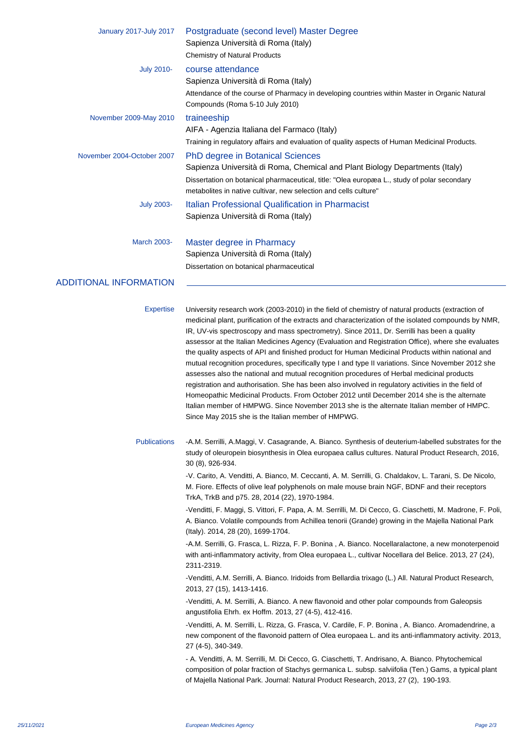| January 2017-July 2017                  | Postgraduate (second level) Master Degree<br>Sapienza Università di Roma (Italy)                                                                                                                                                                                                                                                                                                                                                                                                                                                                                                                                                                                                                                                                                                                                                                                                                                                                                                                                                                                                                                                                                                                                                                                                                                 |
|-----------------------------------------|------------------------------------------------------------------------------------------------------------------------------------------------------------------------------------------------------------------------------------------------------------------------------------------------------------------------------------------------------------------------------------------------------------------------------------------------------------------------------------------------------------------------------------------------------------------------------------------------------------------------------------------------------------------------------------------------------------------------------------------------------------------------------------------------------------------------------------------------------------------------------------------------------------------------------------------------------------------------------------------------------------------------------------------------------------------------------------------------------------------------------------------------------------------------------------------------------------------------------------------------------------------------------------------------------------------|
|                                         | <b>Chemistry of Natural Products</b>                                                                                                                                                                                                                                                                                                                                                                                                                                                                                                                                                                                                                                                                                                                                                                                                                                                                                                                                                                                                                                                                                                                                                                                                                                                                             |
| <b>July 2010-</b>                       | course attendance<br>Sapienza Università di Roma (Italy)                                                                                                                                                                                                                                                                                                                                                                                                                                                                                                                                                                                                                                                                                                                                                                                                                                                                                                                                                                                                                                                                                                                                                                                                                                                         |
|                                         | Attendance of the course of Pharmacy in developing countries within Master in Organic Natural<br>Compounds (Roma 5-10 July 2010)                                                                                                                                                                                                                                                                                                                                                                                                                                                                                                                                                                                                                                                                                                                                                                                                                                                                                                                                                                                                                                                                                                                                                                                 |
| November 2009-May 2010                  | traineeship                                                                                                                                                                                                                                                                                                                                                                                                                                                                                                                                                                                                                                                                                                                                                                                                                                                                                                                                                                                                                                                                                                                                                                                                                                                                                                      |
|                                         | AIFA - Agenzia Italiana del Farmaco (Italy)                                                                                                                                                                                                                                                                                                                                                                                                                                                                                                                                                                                                                                                                                                                                                                                                                                                                                                                                                                                                                                                                                                                                                                                                                                                                      |
|                                         | Training in regulatory affairs and evaluation of quality aspects of Human Medicinal Products.                                                                                                                                                                                                                                                                                                                                                                                                                                                                                                                                                                                                                                                                                                                                                                                                                                                                                                                                                                                                                                                                                                                                                                                                                    |
| November 2004-October 2007              | <b>PhD degree in Botanical Sciences</b>                                                                                                                                                                                                                                                                                                                                                                                                                                                                                                                                                                                                                                                                                                                                                                                                                                                                                                                                                                                                                                                                                                                                                                                                                                                                          |
|                                         | Sapienza Università di Roma, Chemical and Plant Biology Departments (Italy)                                                                                                                                                                                                                                                                                                                                                                                                                                                                                                                                                                                                                                                                                                                                                                                                                                                                                                                                                                                                                                                                                                                                                                                                                                      |
|                                         | Dissertation on botanical pharmaceutical, title: "Olea europæa L., study of polar secondary<br>metabolites in native cultivar, new selection and cells culture"                                                                                                                                                                                                                                                                                                                                                                                                                                                                                                                                                                                                                                                                                                                                                                                                                                                                                                                                                                                                                                                                                                                                                  |
| <b>July 2003-</b>                       | Italian Professional Qualification in Pharmacist                                                                                                                                                                                                                                                                                                                                                                                                                                                                                                                                                                                                                                                                                                                                                                                                                                                                                                                                                                                                                                                                                                                                                                                                                                                                 |
|                                         | Sapienza Università di Roma (Italy)                                                                                                                                                                                                                                                                                                                                                                                                                                                                                                                                                                                                                                                                                                                                                                                                                                                                                                                                                                                                                                                                                                                                                                                                                                                                              |
| <b>March 2003-</b>                      | Master degree in Pharmacy                                                                                                                                                                                                                                                                                                                                                                                                                                                                                                                                                                                                                                                                                                                                                                                                                                                                                                                                                                                                                                                                                                                                                                                                                                                                                        |
|                                         | Sapienza Università di Roma (Italy)                                                                                                                                                                                                                                                                                                                                                                                                                                                                                                                                                                                                                                                                                                                                                                                                                                                                                                                                                                                                                                                                                                                                                                                                                                                                              |
|                                         | Dissertation on botanical pharmaceutical                                                                                                                                                                                                                                                                                                                                                                                                                                                                                                                                                                                                                                                                                                                                                                                                                                                                                                                                                                                                                                                                                                                                                                                                                                                                         |
| <b>ADDITIONAL INFORMATION</b>           |                                                                                                                                                                                                                                                                                                                                                                                                                                                                                                                                                                                                                                                                                                                                                                                                                                                                                                                                                                                                                                                                                                                                                                                                                                                                                                                  |
|                                         |                                                                                                                                                                                                                                                                                                                                                                                                                                                                                                                                                                                                                                                                                                                                                                                                                                                                                                                                                                                                                                                                                                                                                                                                                                                                                                                  |
| <b>Expertise</b><br><b>Publications</b> | University research work (2003-2010) in the field of chemistry of natural products (extraction of<br>medicinal plant, purification of the extracts and characterization of the isolated compounds by NMR,<br>IR, UV-vis spectroscopy and mass spectrometry). Since 2011, Dr. Serrilli has been a quality<br>assessor at the Italian Medicines Agency (Evaluation and Registration Office), where she evaluates<br>the quality aspects of API and finished product for Human Medicinal Products within national and<br>mutual recognition procedures, specifically type I and type II variations. Since November 2012 she<br>assesses also the national and mutual recognition procedures of Herbal medicinal products<br>registration and authorisation. She has been also involved in regulatory activities in the field of<br>Homeopathic Medicinal Products. From October 2012 until December 2014 she is the alternate<br>Italian member of HMPWG. Since November 2013 she is the alternate Italian member of HMPC.<br>Since May 2015 she is the Italian member of HMPWG.<br>-A.M. Serrilli, A.Maggi, V. Casagrande, A. Bianco. Synthesis of deuterium-labelled substrates for the<br>study of oleuropein biosynthesis in Olea europaea callus cultures. Natural Product Research, 2016,<br>30 (8), 926-934. |
|                                         | -V. Carito, A. Venditti, A. Bianco, M. Ceccanti, A. M. Serrilli, G. Chaldakov, L. Tarani, S. De Nicolo,<br>M. Fiore. Effects of olive leaf polyphenols on male mouse brain NGF, BDNF and their receptors<br>TrkA, TrkB and p75. 28, 2014 (22), 1970-1984.                                                                                                                                                                                                                                                                                                                                                                                                                                                                                                                                                                                                                                                                                                                                                                                                                                                                                                                                                                                                                                                        |
|                                         | -Venditti, F. Maggi, S. Vittori, F. Papa, A. M. Serrilli, M. Di Cecco, G. Ciaschetti, M. Madrone, F. Poli,<br>A. Bianco. Volatile compounds from Achillea tenorii (Grande) growing in the Majella National Park<br>(Italy). 2014, 28 (20), 1699-1704.                                                                                                                                                                                                                                                                                                                                                                                                                                                                                                                                                                                                                                                                                                                                                                                                                                                                                                                                                                                                                                                            |
|                                         | -A.M. Serrilli, G. Frasca, L. Rizza, F. P. Bonina, A. Bianco. Nocellaralactone, a new monoterpenoid<br>with anti-inflammatory activity, from Olea europaea L., cultivar Nocellara del Belice. 2013, 27 (24),<br>2311-2319.                                                                                                                                                                                                                                                                                                                                                                                                                                                                                                                                                                                                                                                                                                                                                                                                                                                                                                                                                                                                                                                                                       |
|                                         | -Venditti, A.M. Serrilli, A. Bianco. Iridoids from Bellardia trixago (L.) All. Natural Product Research,<br>2013, 27 (15), 1413-1416.                                                                                                                                                                                                                                                                                                                                                                                                                                                                                                                                                                                                                                                                                                                                                                                                                                                                                                                                                                                                                                                                                                                                                                            |
|                                         | -Venditti, A. M. Serrilli, A. Bianco. A new flavonoid and other polar compounds from Galeopsis<br>angustifolia Ehrh. ex Hoffm. 2013, 27 (4-5), 412-416.                                                                                                                                                                                                                                                                                                                                                                                                                                                                                                                                                                                                                                                                                                                                                                                                                                                                                                                                                                                                                                                                                                                                                          |
|                                         | -Venditti, A. M. Serrilli, L. Rizza, G. Frasca, V. Cardile, F. P. Bonina, A. Bianco. Aromadendrine, a<br>new component of the flavonoid pattern of Olea europaea L. and its anti-inflammatory activity. 2013,<br>27 (4-5), 340-349.                                                                                                                                                                                                                                                                                                                                                                                                                                                                                                                                                                                                                                                                                                                                                                                                                                                                                                                                                                                                                                                                              |
|                                         | - A. Venditti, A. M. Serrilli, M. Di Cecco, G. Ciaschetti, T. Andrisano, A. Bianco. Phytochemical<br>composition of polar fraction of Stachys germanica L. subsp. salviifolia (Ten.) Gams, a typical plant<br>of Majella National Park. Journal: Natural Product Research, 2013, 27 (2), 190-193.                                                                                                                                                                                                                                                                                                                                                                                                                                                                                                                                                                                                                                                                                                                                                                                                                                                                                                                                                                                                                |